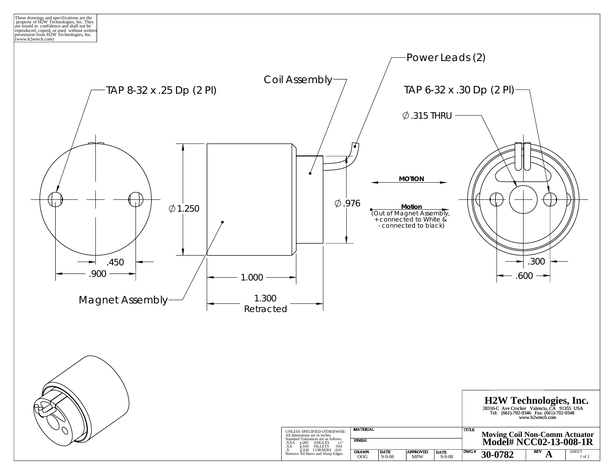reproduced, copied, or used without written permission from H2W Technologies, Inc. (www.h2wtech.com) These drawings and specifications are the property of H2W Technologies, Inc. They are issued in confidence and shall not be